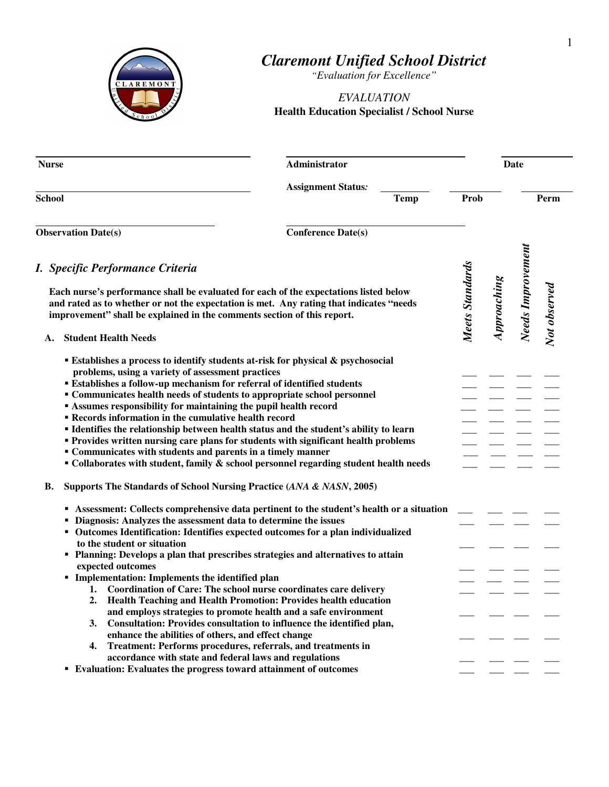

## *Claremont Unified School District*

*"Evaluation for Excellence"* 

## *EVALUATION*  **Health Education Specialist / School Nurse**

| <b>Nurse</b>                                                                                                                                                                                                                                                                                                                                                                                                                                                                                                                                                                                                                                                                                                                                                                                                                                                                                   | Administrator                            |                 |             | Date              |              |
|------------------------------------------------------------------------------------------------------------------------------------------------------------------------------------------------------------------------------------------------------------------------------------------------------------------------------------------------------------------------------------------------------------------------------------------------------------------------------------------------------------------------------------------------------------------------------------------------------------------------------------------------------------------------------------------------------------------------------------------------------------------------------------------------------------------------------------------------------------------------------------------------|------------------------------------------|-----------------|-------------|-------------------|--------------|
| <b>School</b>                                                                                                                                                                                                                                                                                                                                                                                                                                                                                                                                                                                                                                                                                                                                                                                                                                                                                  | <b>Assignment Status:</b><br><b>Temp</b> | Prob            |             |                   | Perm         |
| <b>Observation Date(s)</b>                                                                                                                                                                                                                                                                                                                                                                                                                                                                                                                                                                                                                                                                                                                                                                                                                                                                     | <b>Conference Date(s)</b>                |                 |             |                   |              |
| I. Specific Performance Criteria<br>Each nurse's performance shall be evaluated for each of the expectations listed below<br>and rated as to whether or not the expectation is met. Any rating that indicates "needs<br>improvement" shall be explained in the comments section of this report.<br><b>Student Health Needs</b><br>А.                                                                                                                                                                                                                                                                                                                                                                                                                                                                                                                                                           |                                          | Meets Standards | Approaching | Needs Improvement | Not observed |
| <b>Establishes a process to identify students at-risk for physical &amp; psychosocial</b><br>problems, using a variety of assessment practices<br><b>Establishes a follow-up mechanism for referral of identified students</b><br>" Communicates health needs of students to appropriate school personnel<br><b>Assumes responsibility for maintaining the pupil health record</b><br><b>Example 1 Records information in the cumulative health record</b><br>" Identifies the relationship between health status and the student's ability to learn<br>" Provides written nursing care plans for students with significant health problems<br>• Communicates with students and parents in a timely manner<br>$\blacksquare$ Collaborates with student, family & school personnel regarding student health needs<br>Supports The Standards of School Nursing Practice (ANA & NASN, 2005)<br>В. |                                          |                 |             |                   |              |
| Assessment: Collects comprehensive data pertinent to the student's health or a situation<br>Diagnosis: Analyzes the assessment data to determine the issues<br>• Outcomes Identification: Identifies expected outcomes for a plan individualized<br>to the student or situation<br>" Planning: Develops a plan that prescribes strategies and alternatives to attain<br>expected outcomes<br>Implementation: Implements the identified plan<br>Coordination of Care: The school nurse coordinates care delivery<br>1.<br>Health Teaching and Health Promotion: Provides health education<br>2.<br>and employs strategies to promote health and a safe environment<br>Consultation: Provides consultation to influence the identified plan,<br>3.<br>enhance the abilities of others, and effect change<br>Treatment: Performs procedures, referrals, and treatments in<br>4.                   |                                          |                 |             |                   |              |
| accordance with state and federal laws and regulations<br>Evaluation: Evaluates the progress toward attainment of outcomes<br>٠                                                                                                                                                                                                                                                                                                                                                                                                                                                                                                                                                                                                                                                                                                                                                                |                                          |                 |             |                   |              |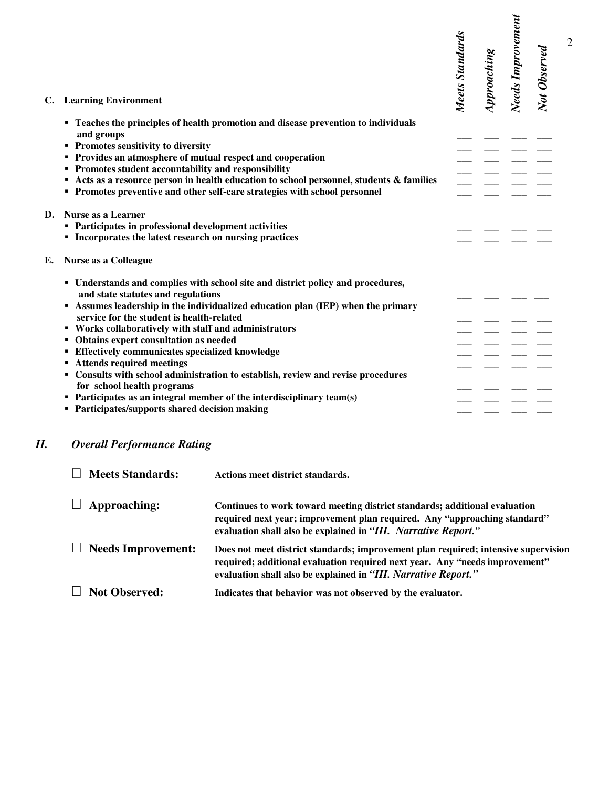| C. | <b>Learning Environment</b>                                                                                                                                                                                                                                                                                                                                      |                                                                                                                                                                                                                                                                                                                                             | Meets Standards | Approaching | Needs Improvement | Not Observed |
|----|------------------------------------------------------------------------------------------------------------------------------------------------------------------------------------------------------------------------------------------------------------------------------------------------------------------------------------------------------------------|---------------------------------------------------------------------------------------------------------------------------------------------------------------------------------------------------------------------------------------------------------------------------------------------------------------------------------------------|-----------------|-------------|-------------------|--------------|
|    |                                                                                                                                                                                                                                                                                                                                                                  | <b>• Teaches the principles of health promotion and disease prevention to individuals</b>                                                                                                                                                                                                                                                   |                 |             |                   |              |
|    | and groups                                                                                                                                                                                                                                                                                                                                                       |                                                                                                                                                                                                                                                                                                                                             |                 |             |                   |              |
|    | <b>• Promotes sensitivity to diversity</b>                                                                                                                                                                                                                                                                                                                       |                                                                                                                                                                                                                                                                                                                                             |                 |             |                   |              |
|    | • Provides an atmosphere of mutual respect and cooperation                                                                                                                                                                                                                                                                                                       |                                                                                                                                                                                                                                                                                                                                             |                 |             |                   |              |
|    | • Promotes student accountability and responsibility                                                                                                                                                                                                                                                                                                             |                                                                                                                                                                                                                                                                                                                                             |                 |             |                   |              |
|    |                                                                                                                                                                                                                                                                                                                                                                  | Acts as a resource person in health education to school personnel, students & families<br>• Promotes preventive and other self-care strategies with school personnel                                                                                                                                                                        |                 |             |                   |              |
|    |                                                                                                                                                                                                                                                                                                                                                                  |                                                                                                                                                                                                                                                                                                                                             |                 |             |                   |              |
| D. | Nurse as a Learner                                                                                                                                                                                                                                                                                                                                               |                                                                                                                                                                                                                                                                                                                                             |                 |             |                   |              |
|    | • Participates in professional development activities                                                                                                                                                                                                                                                                                                            |                                                                                                                                                                                                                                                                                                                                             |                 |             |                   |              |
|    |                                                                                                                                                                                                                                                                                                                                                                  | <b>Incorporates the latest research on nursing practices</b>                                                                                                                                                                                                                                                                                |                 |             |                   |              |
| E. | <b>Nurse as a Colleague</b>                                                                                                                                                                                                                                                                                                                                      |                                                                                                                                                                                                                                                                                                                                             |                 |             |                   |              |
|    | and state statutes and regulations<br>service for the student is health-related<br>" Works collaboratively with staff and administrators<br>• Obtains expert consultation as needed<br><b>Effectively communicates specialized knowledge</b><br><b>Attends required meetings</b><br>for school health programs<br>• Participates/supports shared decision making | " Understands and complies with school site and district policy and procedures,<br>Assumes leadership in the individualized education plan (IEP) when the primary<br>• Consults with school administration to establish, review and revise procedures<br>$\blacksquare$ Participates as an integral member of the interdisciplinary team(s) |                 |             |                   |              |
|    | <b>Overall Performance Rating</b>                                                                                                                                                                                                                                                                                                                                |                                                                                                                                                                                                                                                                                                                                             |                 |             |                   |              |
|    | <b>Meets Standards:</b>                                                                                                                                                                                                                                                                                                                                          | Actions meet district standards.                                                                                                                                                                                                                                                                                                            |                 |             |                   |              |
|    | Approaching:                                                                                                                                                                                                                                                                                                                                                     | Continues to work toward meeting district standards; additional evaluation<br>required next year; improvement plan required. Any "approaching standard"<br>evaluation shall also be explained in "III. Narrative Report."                                                                                                                   |                 |             |                   |              |
|    | <b>Needs Improvement:</b>                                                                                                                                                                                                                                                                                                                                        | Does not meet district standards; improvement plan required; intensive supervis<br>required; additional evaluation required next year. Any "needs improvement"<br>evaluation shall also be explained in "III. Narrative Report."                                                                                                            |                 |             |                   |              |
|    | <b>Not Observed:</b>                                                                                                                                                                                                                                                                                                                                             | Indicates that behavior was not observed by the evaluator.                                                                                                                                                                                                                                                                                  |                 |             |                   |              |

## *II. Overall Performance Rating*

| <b>Meets Standards:</b>   | Actions meet district standards.                                                                                                                                                                                                    |
|---------------------------|-------------------------------------------------------------------------------------------------------------------------------------------------------------------------------------------------------------------------------------|
| Approaching:              | Continues to work toward meeting district standards; additional evaluation<br>required next year; improvement plan required. Any "approaching standard"<br>evaluation shall also be explained in "III. Narrative Report."           |
| <b>Needs Improvement:</b> | Does not meet district standards; improvement plan required; intensive supervision<br>required; additional evaluation required next year. Any "needs improvement"<br>evaluation shall also be explained in "III. Narrative Report." |
| <b>Not Observed:</b>      | Indicates that behavior was not observed by the evaluator.                                                                                                                                                                          |